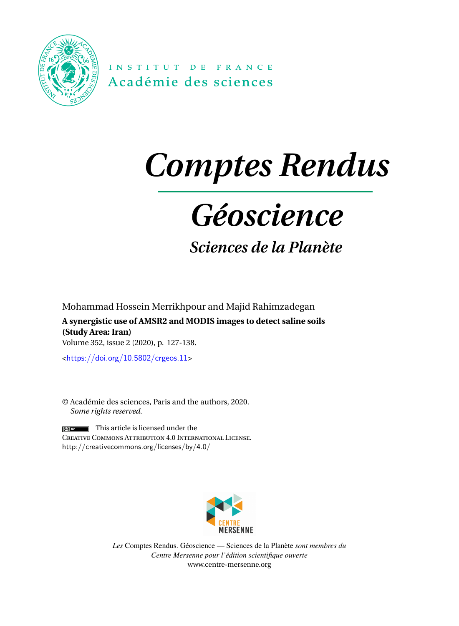<span id="page-0-0"></span>

INSTITUT DE FRANCE Académie des sciences

# *Comptes Rendus*

# *Géoscience*

*Sciences de la Planète*

Mohammad Hossein Merrikhpour and Majid Rahimzadegan **A synergistic use of AMSR2 and MODIS images to detect saline soils (Study Area: Iran)** Volume 352, issue 2 (2020), p. 127-138.

<<https://doi.org/10.5802/crgeos.11>>

© Académie des sciences, Paris and the authors, 2020. *Some rights reserved.*

 $\left| \cdot \right|$  This article is licensed under the Creative Commons Attribution 4.0 International License. <http://creativecommons.org/licenses/by/4.0/>



*Les* Comptes Rendus. Géoscience — Sciences de la Planète *sont membres du Centre Mersenne pour l'édition scientifique ouverte* [www.centre-mersenne.org](https://www.centre-mersenne.org)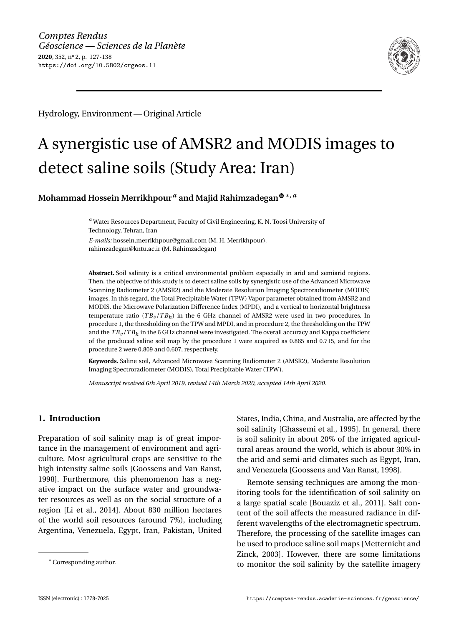

Hydrology, Environment— Original Article

# A synergistic use of AMSR2 and MODIS images to detect saline soils (Study Area: Iran)

**Mohammad Hossein Merrikhpour***<sup>a</sup>* **and Majid Rahimzadega[n](https://orcid.org/0000-0002-2632-4869)** <sup>∗</sup>**,** *<sup>a</sup>*

*<sup>a</sup>* Water Resources Department, Faculty of Civil Engineering, K. N. Toosi University of Technology, Tehran, Iran

*E-mails:* [hossein.merrikhpour@gmail.com](mailto:hossein.merrikhpour@gmail.com) (M. H. Merrikhpour), [rahimzadegan@kntu.ac.ir](mailto:rahimzadegan@kntu.ac.ir) (M. Rahimzadegan)

**Abstract.** Soil salinity is a critical environmental problem especially in arid and semiarid regions. Then, the objective of this study is to detect saline soils by synergistic use of the Advanced Microwave Scanning Radiometer 2 (AMSR2) and the Moderate Resolution Imaging Spectroradiometer (MODIS) images. In this regard, the Total Precipitable Water (TPW) Vapor parameter obtained from AMSR2 and MODIS, the Microwave Polarization Difference Index (MPDI), and a vertical to horizontal brightness temperature ratio  $(TB_v/TB_h)$  in the 6 GHz channel of AMSR2 were used in two procedures. In procedure 1, the thresholding on the TPW and MPDI, and in procedure 2, the thresholding on the TPW and the *T B<sup>v</sup>* /*T B<sup>h</sup>* in the 6 GHz channel were investigated. The overall accuracy and Kappa coefficient of the produced saline soil map by the procedure 1 were acquired as 0.865 and 0.715, and for the procedure 2 were 0.809 and 0.607, respectively.

**Keywords.** Saline soil, Advanced Microwave Scanning Radiometer 2 (AMSR2), Moderate Resolution Imaging Spectroradiometer (MODIS), Total Precipitable Water (TPW).

*Manuscript received 6th April 2019, revised 14th March 2020, accepted 14th April 2020.*

# **1. Introduction**

Preparation of soil salinity map is of great importance in the management of environment and agriculture. Most agricultural crops are sensitive to the high intensity saline soils [\[Goossens and Van Ranst,](#page-11-0) [1998\]](#page-11-0). Furthermore, this phenomenon has a negative impact on the surface water and groundwater resources as well as on the social structure of a region [\[Li et al.,](#page-11-1) [2014\]](#page-11-1). About 830 million hectares of the world soil resources (around 7%), including Argentina, Venezuela, Egypt, Iran, Pakistan, United States, India, China, and Australia, are affected by the soil salinity [\[Ghassemi et al.,](#page-11-2) [1995\]](#page-11-2). In general, there is soil salinity in about 20% of the irrigated agricultural areas around the world, which is about 30% in the arid and semi-arid climates such as Egypt, Iran, and Venezuela [\[Goossens and Van Ranst,](#page-11-0) [1998\]](#page-11-0).

Remote sensing techniques are among the monitoring tools for the identification of soil salinity on a large spatial scale [\[Bouaziz et al.,](#page-10-0) [2011\]](#page-10-0). Salt content of the soil affects the measured radiance in different wavelengths of the electromagnetic spectrum. Therefore, the processing of the satellite images can be used to produce saline soil maps [\[Metternicht and](#page-12-0) [Zinck,](#page-12-0) [2003\]](#page-12-0). However, there are some limitations to monitor the soil salinity by the satellite imagery

<sup>∗</sup>Corresponding author.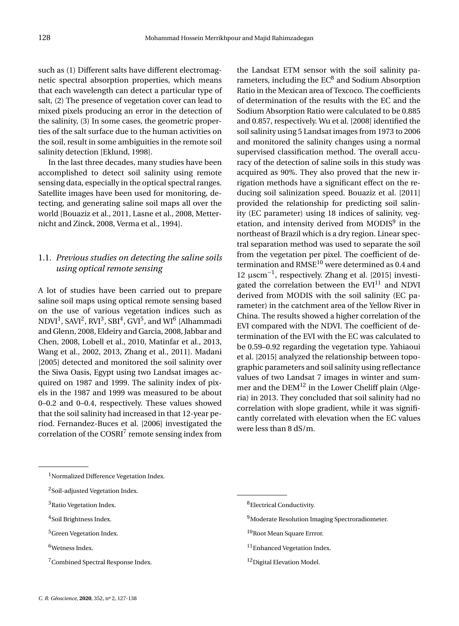such as (1) Different salts have different electromagnetic spectral absorption properties, which means that each wavelength can detect a particular type of salt, (2) The presence of vegetation cover can lead to mixed pixels producing an error in the detection of the salinity, (3) In some cases, the geometric properties of the salt surface due to the human activities on the soil, result in some ambiguities in the remote soil salinity detection [\[Eklund,](#page-11-3) [1998\]](#page-11-3).

In the last three decades, many studies have been accomplished to detect soil salinity using remote sensing data, especially in the optical spectral ranges. Satellite images have been used for monitoring, detecting, and generating saline soil maps all over the world [\[Bouaziz et al.,](#page-10-0) [2011,](#page-10-0) [Lasne et al.,](#page-11-4) [2008,](#page-11-4) [Metter](#page-12-1)[nicht and Zinck,](#page-12-1) [2008,](#page-12-1) [Verma et al.,](#page-12-2) [1994\]](#page-12-2).

# 1.1. *Previous studies on detecting the saline soils using optical remote sensing*

A lot of studies have been carried out to prepare saline soil maps using optical remote sensing based on the use of various vegetation indices such as NDVI $^1$  $^1$ , SAVI $^2$  $^2$ , RVI $^3$  $^3$ , SBI $^4$  $^4$ , GVI $^5$  $^5$ , and WI $^6$  $^6$  [\[Alhammadi](#page-10-1) [and Glenn,](#page-10-1) [2008,](#page-10-1) [Eldeiry and Garcia,](#page-11-5) [2008,](#page-11-5) [Jabbar and](#page-11-6) [Chen,](#page-11-6) [2008,](#page-11-6) [Lobell et al.,](#page-11-7) [2010,](#page-11-7) [Matinfar et al.,](#page-11-8) [2013,](#page-11-8) [Wang et al.,](#page-12-3) [2002,](#page-12-3) [2013,](#page-12-4) [Zhang et al.,](#page-12-5) [2011\]](#page-12-5). [Madani](#page-11-9) [\[2005\]](#page-11-9) detected and monitored the soil salinity over the Siwa Oasis, Egypt using two Landsat images acquired on 1987 and 1999. The salinity index of pixels in the 1987 and 1999 was measured to be about 0–0.2 and 0–0.4, respectively. These values showed that the soil salinity had increased in that 12-year period. [Fernandez-Buces et al.](#page-11-10) [\[2006\]](#page-11-10) investigated the correlation of the COSRI<sup>[7](#page-0-0)</sup> remote sensing index from

the Landsat ETM sensor with the soil salinity parameters, including the  $EC<sup>8</sup>$  $EC<sup>8</sup>$  $EC<sup>8</sup>$  and Sodium Absorption Ratio in the Mexican area of Texcoco. The coefficients of determination of the results with the EC and the Sodium Absorption Ratio were calculated to be 0.885 and 0.857, respectively. [Wu et al.](#page-12-6) [\[2008\]](#page-12-6) identified the soil salinity using 5 Landsat images from 1973 to 2006 and monitored the salinity changes using a normal supervised classification method. The overall accuracy of the detection of saline soils in this study was acquired as 90%. They also proved that the new irrigation methods have a significant effect on the reducing soil salinization speed. [Bouaziz et al.](#page-10-0) [\[2011\]](#page-10-0) provided the relationship for predicting soil salinity (EC parameter) using 18 indices of salinity, veg-etation, and intensity derived from MODIS<sup>[9](#page-0-0)</sup> in the northeast of Brazil which is a dry region. Linear spectral separation method was used to separate the soil from the vegetation per pixel. The coefficient of determination and  $RMSE^{10}$  $RMSE^{10}$  $RMSE^{10}$  were determined as 0.4 and 12 µscm−<sup>1</sup> , respectively. [Zhang et al.](#page-12-7) [\[2015\]](#page-12-7) investigated the correlation between the  $EVI<sup>11</sup>$  $EVI<sup>11</sup>$  $EVI<sup>11</sup>$  and NDVI derived from MODIS with the soil salinity (EC parameter) in the catchment area of the Yellow River in China. The results showed a higher correlation of the EVI compared with the NDVI. The coefficient of determination of the EVI with the EC was calculated to be 0.59–0.92 regarding the vegetation type. [Yahiaoui](#page-12-8) [et al.](#page-12-8) [\[2015\]](#page-12-8) analyzed the relationship between topographic parameters and soil salinity using reflectance values of two Landsat 7 images in winter and summer and the  $DEM^{12}$  $DEM^{12}$  $DEM^{12}$  in the Lower Cheliff plain (Algeria) in 2013. They concluded that soil salinity had no correlation with slope gradient, while it was significantly correlated with elevation when the EC values were less than 8 dS/m.

- <sup>4</sup>Soil Brightness Index.
- <sup>5</sup>Green Vegetation Index.
- <sup>6</sup>Wetness Index.
- <sup>9</sup>Moderate Resolution Imaging Spectroradiometer.
- 10 Root Mean Square Errror.
- <sup>11</sup>Enhanced Vegetation Index.
- <sup>12</sup>Digital Elevation Model.

<sup>&</sup>lt;sup>1</sup>Normalized Difference Vegetation Index.

<sup>2</sup>Soil-adjusted Vegetation Index.

<sup>&</sup>lt;sup>3</sup>Ratio Vegetation Index.

<sup>7</sup>Combined Spectral Response Index.

<sup>8</sup>Electrical Conductivity.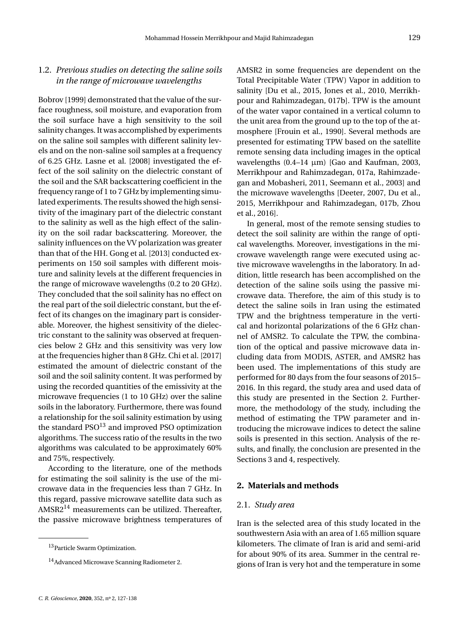# 1.2. *Previous studies on detecting the saline soils in the range of microwave wavelengths*

[Bobrov](#page-10-2) [\[1999\]](#page-10-2) demonstrated that the value of the surface roughness, soil moisture, and evaporation from the soil surface have a high sensitivity to the soil salinity changes. It was accomplished by experiments on the saline soil samples with different salinity levels and on the non-saline soil samples at a frequency of 6.25 GHz. [Lasne et al.](#page-11-4) [\[2008\]](#page-11-4) investigated the effect of the soil salinity on the dielectric constant of the soil and the SAR backscattering coefficient in the frequency range of 1 to 7 GHz by implementing simulated experiments. The results showed the high sensitivity of the imaginary part of the dielectric constant to the salinity as well as the high effect of the salinity on the soil radar backscattering. Moreover, the salinity influences on the VV polarization was greater than that of the HH. [Gong et al.](#page-11-11) [\[2013\]](#page-11-11) conducted experiments on 150 soil samples with different moisture and salinity levels at the different frequencies in the range of microwave wavelengths (0.2 to 20 GHz). They concluded that the soil salinity has no effect on the real part of the soil dielectric constant, but the effect of its changes on the imaginary part is considerable. Moreover, the highest sensitivity of the dielectric constant to the salinity was observed at frequencies below 2 GHz and this sensitivity was very low at the frequencies higher than 8 GHz. [Chi et al.](#page-10-3) [\[2017\]](#page-10-3) estimated the amount of dielectric constant of the soil and the soil salinity content. It was performed by using the recorded quantities of the emissivity at the microwave frequencies (1 to 10 GHz) over the saline soils in the laboratory. Furthermore, there was found a relationship for the soil salinity estimation by using the standard  $PSO<sup>13</sup>$  $PSO<sup>13</sup>$  $PSO<sup>13</sup>$  and improved PSO optimization algorithms. The success ratio of the results in the two algorithms was calculated to be approximately 60% and 75%, respectively.

According to the literature, one of the methods for estimating the soil salinity is the use of the microwave data in the frequencies less than 7 GHz. In this regard, passive microwave satellite data such as AMSR2 $^{14}$  $^{14}$  $^{14}$  measurements can be utilized. Thereafter, the passive microwave brightness temperatures of AMSR2 in some frequencies are dependent on the Total Precipitable Water (TPW) Vapor in addition to salinity [\[Du et al.,](#page-11-12) [2015,](#page-11-12) [Jones et al.,](#page-11-13) [2010,](#page-11-13) [Merrikh](#page-11-14)[pour and Rahimzadegan,](#page-11-14) [017b\]](#page-11-14). TPW is the amount of the water vapor contained in a vertical column to the unit area from the ground up to the top of the atmosphere [\[Frouin et al.,](#page-11-15) [1990\]](#page-11-15). Several methods are presented for estimating TPW based on the satellite remote sensing data including images in the optical wavelengths  $(0.4-14 \mu m)$  [\[Gao and Kaufman,](#page-11-16) [2003,](#page-11-16) [Merrikhpour and Rahimzadegan,](#page-11-17) [017a,](#page-11-17) [Rahimzade](#page-12-9)[gan and Mobasheri,](#page-12-9) [2011,](#page-12-9) [Seemann et al.,](#page-12-10) [2003\]](#page-12-10) and the microwave wavelengths [\[Deeter,](#page-11-18) [2007,](#page-11-18) [Du et al.,](#page-11-12) [2015,](#page-11-12) [Merrikhpour and Rahimzadegan,](#page-11-14) [017b,](#page-11-14) [Zhou](#page-12-11) [et al.,](#page-12-11) [2016\]](#page-12-11).

In general, most of the remote sensing studies to detect the soil salinity are within the range of optical wavelengths. Moreover, investigations in the microwave wavelength range were executed using active microwave wavelengths in the laboratory. In addition, little research has been accomplished on the detection of the saline soils using the passive microwave data. Therefore, the aim of this study is to detect the saline soils in Iran using the estimated TPW and the brightness temperature in the vertical and horizontal polarizations of the 6 GHz channel of AMSR2. To calculate the TPW, the combination of the optical and passive microwave data including data from MODIS, ASTER, and AMSR2 has been used. The implementations of this study are performed for 80 days from the four seasons of 2015– 2016. In this regard, the study area and used data of this study are presented in the Section [2.](#page-3-0) Furthermore, the methodology of the study, including the method of estimating the TPW parameter and introducing the microwave indices to detect the saline soils is presented in this section. Analysis of the results, and finally, the conclusion are presented in the Sections [3](#page-7-0) and [4,](#page-9-0) respectively.

#### <span id="page-3-0"></span>**2. Materials and methods**

#### 2.1. *Study area*

Iran is the selected area of this study located in the southwestern Asia with an area of 1.65 million square kilometers. The climate of Iran is arid and semi-arid for about 90% of its area. Summer in the central regions of Iran is very hot and the temperature in some

<sup>&</sup>lt;sup>13</sup> Particle Swarm Optimization.

<sup>14</sup>Advanced Microwave Scanning Radiometer 2.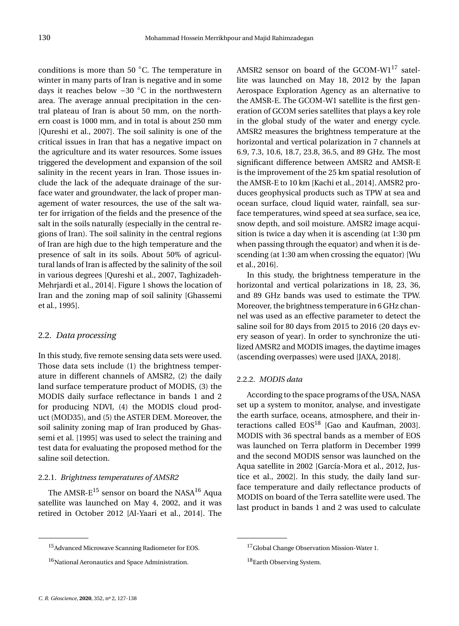conditions is more than 50 ◦C. The temperature in winter in many parts of Iran is negative and in some days it reaches below −30 ◦C in the northwestern area. The average annual precipitation in the central plateau of Iran is about 50 mm, on the northern coast is 1000 mm, and in total is about 250 mm [\[Qureshi et al.,](#page-12-12) [2007\]](#page-12-12). The soil salinity is one of the critical issues in Iran that has a negative impact on the agriculture and its water resources. Some issues triggered the development and expansion of the soil salinity in the recent years in Iran. Those issues include the lack of the adequate drainage of the surface water and groundwater, the lack of proper management of water resources, the use of the salt water for irrigation of the fields and the presence of the salt in the soils naturally (especially in the central regions of Iran). The soil salinity in the central regions of Iran are high due to the high temperature and the presence of salt in its soils. About 50% of agricultural lands of Iran is affected by the salinity of the soil in various degrees [\[Qureshi et al.,](#page-12-12) [2007,](#page-12-12) [Taghizadeh-](#page-12-13)[Mehrjardi et al.,](#page-12-13) [2014\]](#page-12-13). Figure [1](#page-5-0) shows the location of Iran and the zoning map of soil salinity [\[Ghassemi](#page-11-2) [et al.,](#page-11-2) [1995\]](#page-11-2).

## 2.2. *Data processing*

In this study, five remote sensing data sets were used. Those data sets include (1) the brightness temperature in different channels of AMSR2, (2) the daily land surface temperature product of MODIS, (3) the MODIS daily surface reflectance in bands 1 and 2 for producing NDVI, (4) the MODIS cloud product (MOD35), and (5) the ASTER DEM. Moreover, the soil salinity zoning map of Iran produced by [Ghas](#page-11-2)[semi et al.](#page-11-2) [\[1995\]](#page-11-2) was used to select the training and test data for evaluating the proposed method for the saline soil detection.

## 2.2.1. *Brightness temperatures of AMSR2*

The AMSR- $E^{15}$  $E^{15}$  $E^{15}$  sensor on board the NASA<sup>[16](#page-0-0)</sup> Aqua satellite was launched on May 4, 2002, and it was retired in October 2012 [\[Al-Yaari et al.,](#page-10-4) [2014\]](#page-10-4). The AMSR2 sensor on board of the GCOM-W1 $^{17}$  $^{17}$  $^{17}$  satellite was launched on May 18, 2012 by the Japan Aerospace Exploration Agency as an alternative to the AMSR-E. The GCOM-W1 satellite is the first generation of GCOM series satellites that plays a key role in the global study of the water and energy cycle. AMSR2 measures the brightness temperature at the horizontal and vertical polarization in 7 channels at 6.9, 7.3, 10.6, 18.7, 23.8, 36.5, and 89 GHz. The most significant difference between AMSR2 and AMSR-E is the improvement of the 25 km spatial resolution of the AMSR-E to 10 km [\[Kachi et al.,](#page-11-19) [2014\]](#page-11-19). AMSR2 produces geophysical products such as TPW at sea and ocean surface, cloud liquid water, rainfall, sea surface temperatures, wind speed at sea surface, sea ice, snow depth, and soil moisture. AMSR2 image acquisition is twice a day when it is ascending (at 1:30 pm when passing through the equator) and when it is descending (at 1:30 am when crossing the equator) [\[Wu](#page-12-14) [et al.,](#page-12-14) [2016\]](#page-12-14).

In this study, the brightness temperature in the horizontal and vertical polarizations in 18, 23, 36, and 89 GHz bands was used to estimate the TPW. Moreover, the brightness temperature in 6 GHz channel was used as an effective parameter to detect the saline soil for 80 days from 2015 to 2016 (20 days every season of year). In order to synchronize the utilized AMSR2 and MODIS images, the daytime images (ascending overpasses) were used [\[JAXA,](#page-11-20) [2018\]](#page-11-20).

#### 2.2.2. *MODIS data*

According to the space programs of the USA, NASA set up a system to monitor, analyse, and investigate the earth surface, oceans, atmosphere, and their interactions called  $EOS<sup>18</sup>$  $EOS<sup>18</sup>$  $EOS<sup>18</sup>$  [\[Gao and Kaufman,](#page-11-16) [2003\]](#page-11-16). MODIS with 36 spectral bands as a member of EOS was launched on Terra platform in December 1999 and the second MODIS sensor was launched on the Aqua satellite in 2002 [\[García-Mora et al.,](#page-11-21) [2012,](#page-11-21) [Jus](#page-11-22)[tice et al.,](#page-11-22) [2002\]](#page-11-22). In this study, the daily land surface temperature and daily reflectance products of MODIS on board of the Terra satellite were used. The last product in bands 1 and 2 was used to calculate

<sup>15</sup>Advanced Microwave Scanning Radiometer for EOS.

<sup>&</sup>lt;sup>16</sup>National Aeronautics and Space Administration.

<sup>&</sup>lt;sup>17</sup>Global Change Observation Mission-Water 1.

<sup>18</sup> Earth Observing System.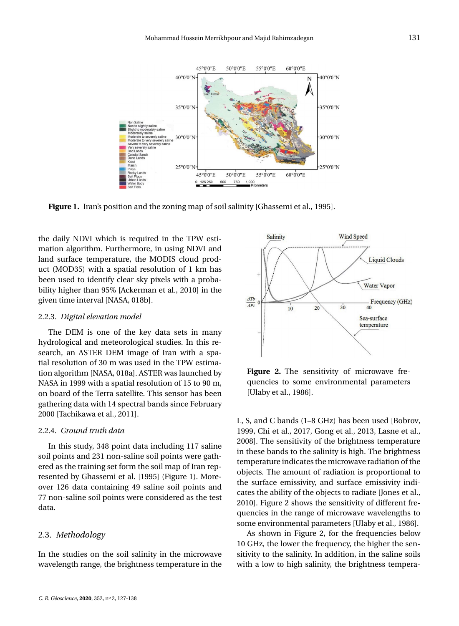

<span id="page-5-0"></span>**Figure 1.** Iran's position and the zoning map of soil salinity [\[Ghassemi et al.,](#page-11-2) [1995\]](#page-11-2).

the daily NDVI which is required in the TPW estimation algorithm. Furthermore, in using NDVI and land surface temperature, the MODIS cloud product (MOD35) with a spatial resolution of 1 km has been used to identify clear sky pixels with a probability higher than 95% [\[Ackerman et al.,](#page-10-5) [2010\]](#page-10-5) in the given time interval [\[NASA,](#page-12-15) [018b\]](#page-12-15).

#### 2.2.3. *Digital elevation model*

The DEM is one of the key data sets in many hydrological and meteorological studies. In this research, an ASTER DEM image of Iran with a spatial resolution of 30 m was used in the TPW estimation algorithm [\[NASA,](#page-12-16) [018a\]](#page-12-16). ASTER was launched by NASA in 1999 with a spatial resolution of 15 to 90 m, on board of the Terra satellite. This sensor has been gathering data with 14 spectral bands since February 2000 [\[Tachikawa et al.,](#page-12-17) [2011\]](#page-12-17).

#### 2.2.4. *Ground truth data*

In this study, 348 point data including 117 saline soil points and 231 non-saline soil points were gathered as the training set form the soil map of Iran represented by [Ghassemi et al.](#page-11-2) [\[1995\]](#page-11-2) (Figure [1\)](#page-5-0). Moreover 126 data containing 49 saline soil points and 77 non-saline soil points were considered as the test data.

#### 2.3. *Methodology*

In the studies on the soil salinity in the microwave wavelength range, the brightness temperature in the



<span id="page-5-1"></span>**Figure 2.** The sensitivity of microwave frequencies to some environmental parameters [\[Ulaby et al.,](#page-12-18) [1986\]](#page-12-18).

L, S, and C bands (1–8 GHz) has been used [\[Bobrov,](#page-10-2) [1999,](#page-10-2) [Chi et al.,](#page-10-3) [2017,](#page-10-3) [Gong et al.,](#page-11-11) [2013,](#page-11-11) [Lasne et al.,](#page-11-4) [2008\]](#page-11-4). The sensitivity of the brightness temperature in these bands to the salinity is high. The brightness temperature indicates the microwave radiation of the objects. The amount of radiation is proportional to the surface emissivity, and surface emissivity indicates the ability of the objects to radiate [\[Jones et al.,](#page-11-13) [2010\]](#page-11-13). Figure [2](#page-5-1) shows the sensitivity of different frequencies in the range of microwave wavelengths to some environmental parameters [\[Ulaby et al.,](#page-12-18) [1986\]](#page-12-18).

As shown in Figure [2,](#page-5-1) for the frequencies below 10 GHz, the lower the frequency, the higher the sensitivity to the salinity. In addition, in the saline soils with a low to high salinity, the brightness tempera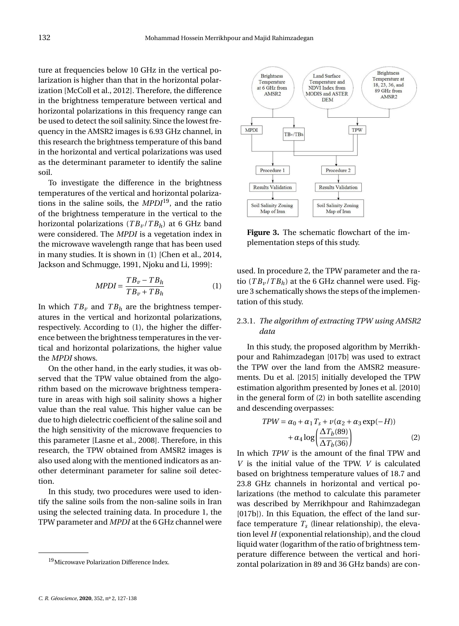ture at frequencies below 10 GHz in the vertical polarization is higher than that in the horizontal polarization [\[McColl et al.,](#page-11-23) [2012\]](#page-11-23). Therefore, the difference in the brightness temperature between vertical and horizontal polarizations in this frequency range can be used to detect the soil salinity. Since the lowest frequency in the AMSR2 images is 6.93 GHz channel, in this research the brightness temperature of this band in the horizontal and vertical polarizations was used as the determinant parameter to identify the saline soil.

To investigate the difference in the brightness temperatures of the vertical and horizontal polarizations in the saline soils, the *MPDI*[19](#page-0-0), and the ratio of the brightness temperature in the vertical to the horizontal polarizations  $(TB_v/TB_h)$  at 6 GHz band were considered. The *MPDI* is a vegetation index in the microwave wavelength range that has been used in many studies. It is shown in [\(1\)](#page-6-0) [\[Chen et al.,](#page-10-6) [2014,](#page-10-6) [Jackson and Schmugge,](#page-11-24) [1991,](#page-11-24) [Njoku and Li,](#page-12-19) [1999\]](#page-12-19):

<span id="page-6-0"></span>
$$
MPDI = \frac{TB_v - TB_h}{TB_v + TB_h}
$$
 (1)

In which  $TB_v$  and  $TB_h$  are the brightness temperatures in the vertical and horizontal polarizations, respectively. According to [\(1\)](#page-6-0), the higher the difference between the brightness temperatures in the vertical and horizontal polarizations, the higher value the *MPDI* shows.

On the other hand, in the early studies, it was observed that the TPW value obtained from the algorithm based on the microwave brightness temperature in areas with high soil salinity shows a higher value than the real value. This higher value can be due to high dielectric coefficient of the saline soil and the high sensitivity of the microwave frequencies to this parameter [\[Lasne et al.,](#page-11-4) [2008\]](#page-11-4). Therefore, in this research, the TPW obtained from AMSR2 images is also used along with the mentioned indicators as another determinant parameter for saline soil detection.

In this study, two procedures were used to identify the saline soils from the non-saline soils in Iran using the selected training data. In procedure 1, the TPW parameter and *MPDI* at the 6 GHz channel were



<span id="page-6-1"></span>**Figure 3.** The schematic flowchart of the implementation steps of this study.

used. In procedure 2, the TPW parameter and the ratio  $(TB_v/TB_h)$  at the 6 GHz channel were used. Figure [3](#page-6-1) schematically shows the steps of the implementation of this study.

# 2.3.1. *The algorithm of extracting TPW using AMSR2 data*

In this study, the proposed algorithm by [Merrikh](#page-11-14)[pour and Rahimzadegan](#page-11-14) [\[017b\]](#page-11-14) was used to extract the TPW over the land from the AMSR2 measurements. [Du et al.](#page-11-12) [\[2015\]](#page-11-12) initially developed the TPW estimation algorithm presented by [Jones et al.](#page-11-13) [\[2010\]](#page-11-13) in the general form of [\(2\)](#page-6-2) in both satellite ascending and descending overpasses:

<span id="page-6-2"></span>
$$
TPW = \alpha_0 + \alpha_1 T_s + \nu(\alpha_2 + \alpha_3 \exp(-H)) + \alpha_4 \log \left( \frac{\Delta T_b(89)}{\Delta T_b(36)} \right)
$$
 (2)

In which *TPW* is the amount of the final TPW and *V* is the initial value of the TPW. *V* is calculated based on brightness temperature values of 18.7 and 23.8 GHz channels in horizontal and vertical polarizations (the method to calculate this parameter was described by [Merrikhpour and Rahimzadegan](#page-11-14) [\[017b\]](#page-11-14)). In this Equation, the effect of the land surface temperature  $T_s$  (linear relationship), the elevation level *H* (exponential relationship), and the cloud liquid water (logarithm of the ratio of brightness temperature difference between the vertical and horizontal polarization in 89 and 36 GHz bands) are con-

<sup>&</sup>lt;sup>19</sup>Microwave Polarization Difference Index.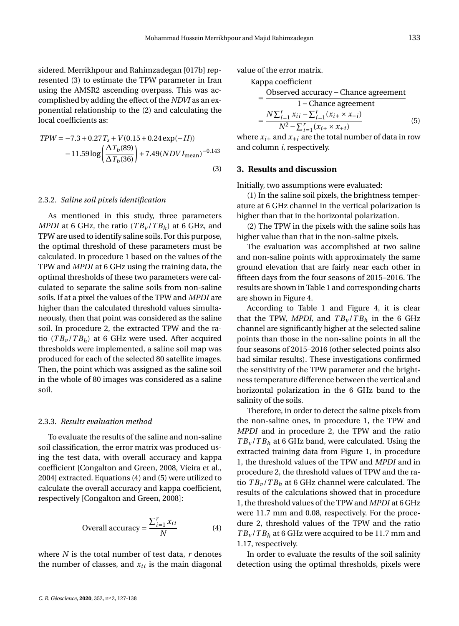sidered. [Merrikhpour and Rahimzadegan](#page-11-14) [\[017b\]](#page-11-14) represented [\(3\)](#page-7-1) to estimate the TPW parameter in Iran using the AMSR2 ascending overpass. This was accomplished by adding the effect of the *NDVI* as an exponential relationship to the [\(2\)](#page-6-2) and calculating the local coefficients as:

<span id="page-7-1"></span>
$$
TPW = -7.3 + 0.27T_s + V(0.15 + 0.24 \exp(-H))
$$

$$
-11.59 \log \left(\frac{\Delta T_b(89)}{\Delta T_b(36)}\right) + 7.49 (NDVI_{mean})^{-0.143}
$$
(3)

#### 2.3.2. *Saline soil pixels identification*

As mentioned in this study, three parameters *MPDI* at 6 GHz, the ratio  $(TB_v/TB_h)$  at 6 GHz, and TPW are used to identify saline soils. For this purpose, the optimal threshold of these parameters must be calculated. In procedure 1 based on the values of the TPW and *MPDI* at 6 GHz using the training data, the optimal thresholds of these two parameters were calculated to separate the saline soils from non-saline soils. If at a pixel the values of the TPW and *MPDI* are higher than the calculated threshold values simultaneously, then that point was considered as the saline soil. In procedure 2, the extracted TPW and the ratio  $(TB_v/TB_h)$  at 6 GHz were used. After acquired thresholds were implemented, a saline soil map was produced for each of the selected 80 satellite images. Then, the point which was assigned as the saline soil in the whole of 80 images was considered as a saline soil.

#### 2.3.3. *Results evaluation method*

To evaluate the results of the saline and non-saline soil classification, the error matrix was produced using the test data, with overall accuracy and kappa coefficient [\[Congalton and Green,](#page-11-25) [2008,](#page-11-25) [Vieira et al.,](#page-12-20) [2004\]](#page-12-20) extracted. Equations [\(4\)](#page-7-2) and [\(5\)](#page-7-3) were utilized to calculate the overall accuracy and kappa coefficient, respectively [\[Congalton and Green,](#page-11-25) [2008\]](#page-11-25):

<span id="page-7-2"></span>Overall accuracy = 
$$
\frac{\sum_{i=1}^{r} x_{ii}}{N}
$$
 (4)

where *N* is the total number of test data, *r* denotes the number of classes, and  $x_{ii}$  is the main diagonal value of the error matrix.

<span id="page-7-3"></span>Kappa coefficient  
\n
$$
= \frac{\text{Observed accuracy} - \text{Change agreement}}{1 - \text{Change agreement}}
$$
\n
$$
= \frac{N \sum_{i=1}^{r} x_{ii} - \sum_{i=1}^{r} (x_{i+} \times x_{+i})}{N^2 - \sum_{i=1}^{r} (x_{i+} \times x_{+i})}
$$
(5)

where  $x_{i+}$  and  $x_{+i}$  are the total number of data in row and column *i*, respectively.

#### <span id="page-7-0"></span>**3. Results and discussion**

Initially, two assumptions were evaluated:

(1) In the saline soil pixels, the brightness temperature at 6 GHz channel in the vertical polarization is higher than that in the horizontal polarization.

(2) The TPW in the pixels with the saline soils has higher value than that in the non-saline pixels.

The evaluation was accomplished at two saline and non-saline points with approximately the same ground elevation that are fairly near each other in fifteen days from the four seasons of 2015–2016. The results are shown in Table [1](#page-8-0) and corresponding charts are shown in Figure [4.](#page-8-1)

According to Table [1](#page-8-0) and Figure [4,](#page-8-1) it is clear that the TPW, *MPDI*, and  $TB_v/TB_h$  in the 6 GHz channel are significantly higher at the selected saline points than those in the non-saline points in all the four seasons of 2015–2016 (other selected points also had similar results). These investigations confirmed the sensitivity of the TPW parameter and the brightness temperature difference between the vertical and horizontal polarization in the 6 GHz band to the salinity of the soils.

Therefore, in order to detect the saline pixels from the non-saline ones, in procedure 1, the TPW and *MPDI* and in procedure 2, the TPW and the ratio  $TB_v / TB_h$  at 6 GHz band, were calculated. Using the extracted training data from Figure [1,](#page-5-0) in procedure 1, the threshold values of the TPW and *MPDI* and in procedure 2, the threshold values of TPW and the ratio *T B<sup>v</sup>* /*T B<sup>h</sup>* at 6 GHz channel were calculated. The results of the calculations showed that in procedure 1, the threshold values of the TPW and *MPDI* at 6 GHz were 11.7 mm and 0.08, respectively. For the procedure 2, threshold values of the TPW and the ratio  $TB_v / TB_h$  at 6 GHz were acquired to be 11.7 mm and 1.17, respectively.

In order to evaluate the results of the soil salinity detection using the optimal thresholds, pixels were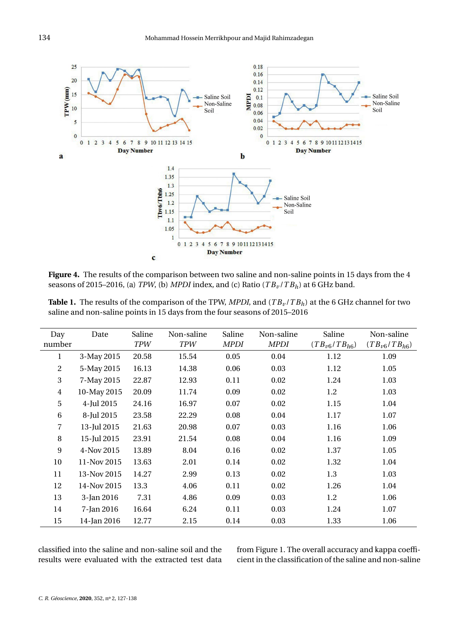

<span id="page-8-1"></span>**Figure 4.** The results of the comparison between two saline and non-saline points in 15 days from the 4 seasons of 2015–2016, (a) *TPW*, (b) *MPDI* index, and (c) Ratio (*T B<sup>v</sup>* /*T Bh*) at 6 GHz band.

<span id="page-8-0"></span>

| <b>Table 1.</b> The results of the comparison of the TPW, MPDI, and $(TB_\nu/TB_h)$ at the 6 GHz channel for two |
|------------------------------------------------------------------------------------------------------------------|
| saline and non-saline points in 15 days from the four seasons of 2015–2016                                       |

| Day<br>number  | Date        | Saline<br><b>TPW</b> | Non-saline<br><b>TPW</b> | Saline<br>MPDI | Non-saline<br><b>MPDI</b> | Saline<br>$(TB_{\nu 6}/TB_{h6})$ | Non-saline<br>$(TB_{\nu 6}/TB_{h6})$ |
|----------------|-------------|----------------------|--------------------------|----------------|---------------------------|----------------------------------|--------------------------------------|
| 1              | 3-May 2015  | 20.58                | 15.54                    | 0.05           | 0.04                      | 1.12                             | 1.09                                 |
| 2              | 5-May 2015  | 16.13                | 14.38                    | 0.06           | 0.03                      | 1.12                             | 1.05                                 |
| 3              | 7-May 2015  | 22.87                | 12.93                    | 0.11           | 0.02                      | 1.24                             | 1.03                                 |
| $\overline{4}$ | 10-May 2015 | 20.09                | 11.74                    | 0.09           | 0.02                      | 1.2                              | 1.03                                 |
| 5              | 4-Jul 2015  | 24.16                | 16.97                    | 0.07           | 0.02                      | 1.15                             | 1.04                                 |
| 6              | 8-Jul 2015  | 23.58                | 22.29                    | 0.08           | 0.04                      | 1.17                             | 1.07                                 |
| $\overline{7}$ | 13-Jul 2015 | 21.63                | 20.98                    | 0.07           | 0.03                      | 1.16                             | 1.06                                 |
| 8              | 15-Jul 2015 | 23.91                | 21.54                    | 0.08           | 0.04                      | 1.16                             | 1.09                                 |
| 9              | 4-Nov 2015  | 13.89                | 8.04                     | 0.16           | 0.02                      | 1.37                             | 1.05                                 |
| 10             | 11-Nov 2015 | 13.63                | 2.01                     | 0.14           | 0.02                      | 1.32                             | 1.04                                 |
| 11             | 13-Nov 2015 | 14.27                | 2.99                     | 0.13           | 0.02                      | 1.3                              | 1.03                                 |
| 12             | 14-Nov 2015 | 13.3                 | 4.06                     | 0.11           | 0.02                      | 1.26                             | 1.04                                 |
| 13             | 3-Jan 2016  | 7.31                 | 4.86                     | 0.09           | 0.03                      | 1.2                              | 1.06                                 |
| 14             | 7-Jan 2016  | 16.64                | 6.24                     | 0.11           | 0.03                      | 1.24                             | 1.07                                 |
| 15             | 14-Jan 2016 | 12.77                | 2.15                     | 0.14           | 0.03                      | 1.33                             | 1.06                                 |

classified into the saline and non-saline soil and the results were evaluated with the extracted test data from Figure [1.](#page-5-0) The overall accuracy and kappa coefficient in the classification of the saline and non-saline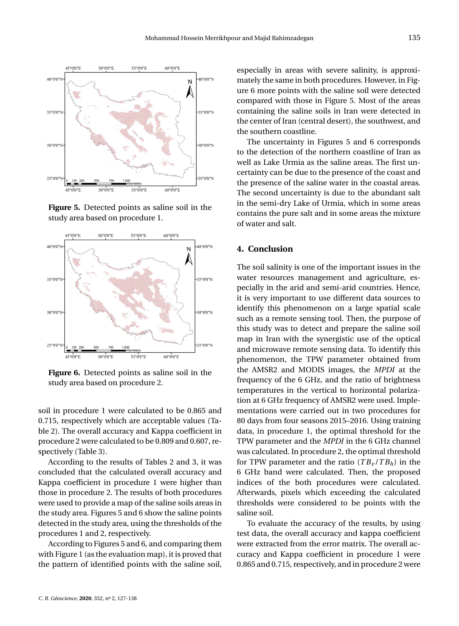

<span id="page-9-1"></span>**Figure 5.** Detected points as saline soil in the study area based on procedure 1.



<span id="page-9-2"></span>**Figure 6.** Detected points as saline soil in the study area based on procedure 2.

soil in procedure 1 were calculated to be 0.865 and 0.715, respectively which are acceptable values (Table [2\)](#page-10-7). The overall accuracy and Kappa coefficient in procedure 2 were calculated to be 0.809 and 0.607, respectively (Table [3\)](#page-10-8).

According to the results of Tables [2](#page-10-7) and [3,](#page-10-8) it was concluded that the calculated overall accuracy and Kappa coefficient in procedure 1 were higher than those in procedure 2. The results of both procedures were used to provide a map of the saline soils areas in the study area. Figures [5](#page-9-1) and [6](#page-9-2) show the saline points detected in the study area, using the thresholds of the procedures 1 and 2, respectively.

According to Figures [5](#page-9-1) and [6,](#page-9-2) and comparing them with Figure [1](#page-5-0) (as the evaluation map), it is proved that the pattern of identified points with the saline soil, especially in areas with severe salinity, is approximately the same in both procedures. However, in Figure [6](#page-9-2) more points with the saline soil were detected compared with those in Figure [5.](#page-9-1) Most of the areas containing the saline soils in Iran were detected in the center of Iran (central desert), the southwest, and the southern coastline.

The uncertainty in Figures [5](#page-9-1) and [6](#page-9-2) corresponds to the detection of the northern coastline of Iran as well as Lake Urmia as the saline areas. The first uncertainty can be due to the presence of the coast and the presence of the saline water in the coastal areas. The second uncertainty is due to the abundant salt in the semi-dry Lake of Urmia, which in some areas contains the pure salt and in some areas the mixture of water and salt.

# <span id="page-9-0"></span>**4. Conclusion**

The soil salinity is one of the important issues in the water resources management and agriculture, especially in the arid and semi-arid countries. Hence, it is very important to use different data sources to identify this phenomenon on a large spatial scale such as a remote sensing tool. Then, the purpose of this study was to detect and prepare the saline soil map in Iran with the synergistic use of the optical and microwave remote sensing data. To identify this phenomenon, the TPW parameter obtained from the AMSR2 and MODIS images, the *MPDI* at the frequency of the 6 GHz, and the ratio of brightness temperatures in the vertical to horizontal polarization at 6 GHz frequency of AMSR2 were used. Implementations were carried out in two procedures for 80 days from four seasons 2015–2016. Using training data, in procedure 1, the optimal threshold for the TPW parameter and the *MPDI* in the 6 GHz channel was calculated. In procedure 2, the optimal threshold for TPW parameter and the ratio  $(TB_v/TB_h)$  in the 6 GHz band were calculated. Then, the proposed indices of the both procedures were calculated. Afterwards, pixels which exceeding the calculated thresholds were considered to be points with the saline soil.

To evaluate the accuracy of the results, by using test data, the overall accuracy and kappa coefficient were extracted from the error matrix. The overall accuracy and Kappa coefficient in procedure 1 were 0.865 and 0.715, respectively, and in procedure 2 were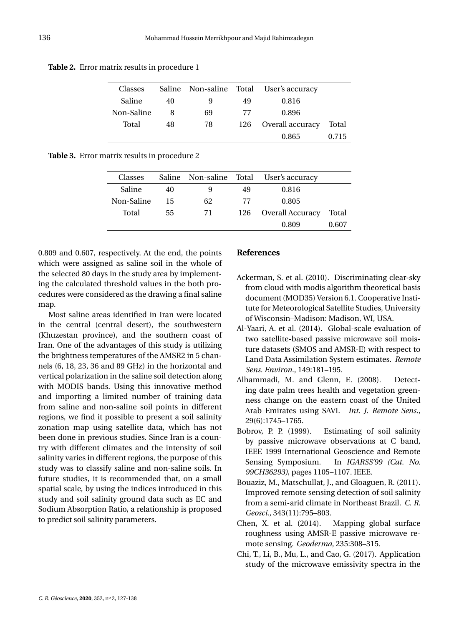| Classes    |    |    |     | Saline Non-saline Total User's accuracy |       |
|------------|----|----|-----|-----------------------------------------|-------|
| Saline     | 40 | 9  | 49  | 0.816                                   |       |
| Non-Saline | 8  | 69 | 77  | 0.896                                   |       |
| Total      | 48 | 78 | 126 | Overall accuracy                        | Total |
|            |    |    |     | 0.865                                   | 0.715 |

<span id="page-10-7"></span>**Table 2.** Error matrix results in procedure 1

<span id="page-10-8"></span>**Table 3.** Error matrix results in procedure 2

| Classes    |    |    |     | Saline Non-saline Total User's accuracy |       |
|------------|----|----|-----|-----------------------------------------|-------|
| Saline     | 40 | 9  | 49  | 0.816                                   |       |
| Non-Saline | 15 | 62 | 77  | 0.805                                   |       |
| Total      | 55 | 71 | 126 | Overall Accuracy                        | Total |
|            |    |    |     | 0.809                                   | 0.607 |

0.809 and 0.607, respectively. At the end, the points which were assigned as saline soil in the whole of the selected 80 days in the study area by implementing the calculated threshold values in the both procedures were considered as the drawing a final saline map.

Most saline areas identified in Iran were located in the central (central desert), the southwestern (Khuzestan province), and the southern coast of Iran. One of the advantages of this study is utilizing the brightness temperatures of the AMSR2 in 5 channels (6, 18, 23, 36 and 89 GHz) in the horizontal and vertical polarization in the saline soil detection along with MODIS bands. Using this innovative method and importing a limited number of training data from saline and non-saline soil points in different regions, we find it possible to present a soil salinity zonation map using satellite data, which has not been done in previous studies. Since Iran is a country with different climates and the intensity of soil salinity varies in different regions, the purpose of this study was to classify saline and non-saline soils. In future studies, it is recommended that, on a small spatial scale, by using the indices introduced in this study and soil salinity ground data such as EC and Sodium Absorption Ratio, a relationship is proposed to predict soil salinity parameters.

## **References**

- <span id="page-10-5"></span>Ackerman, S. et al. (2010). Discriminating clear-sky from cloud with modis algorithm theoretical basis document (MOD35) Version 6.1. Cooperative Institute for Meteorological Satellite Studies, University of Wisconsin–Madison: Madison, WI, USA.
- <span id="page-10-4"></span>Al-Yaari, A. et al. (2014). Global-scale evaluation of two satellite-based passive microwave soil moisture datasets (SMOS and AMSR-E) with respect to Land Data Assimilation System estimates. *Remote Sens. Environ.*, 149:181–195.
- <span id="page-10-1"></span>Alhammadi, M. and Glenn, E. (2008). Detecting date palm trees health and vegetation greenness change on the eastern coast of the United Arab Emirates using SAVI. *Int. J. Remote Sens.*, 29(6):1745–1765.
- <span id="page-10-2"></span>Bobrov, P. P. (1999). Estimating of soil salinity by passive microwave observations at C band, IEEE 1999 International Geoscience and Remote Sensing Symposium. In *IGARSS'99 (Cat. No. 99CH36293)*, pages 1105–1107. IEEE.
- <span id="page-10-0"></span>Bouaziz, M., Matschullat, J., and Gloaguen, R. (2011). Improved remote sensing detection of soil salinity from a semi-arid climate in Northeast Brazil. *C. R. Geosci.*, 343(11):795–803.
- <span id="page-10-6"></span>Chen, X. et al. (2014). Mapping global surface roughness using AMSR-E passive microwave remote sensing. *Geoderma*, 235:308–315.
- <span id="page-10-3"></span>Chi, T., Li, B., Mu, L., and Cao, G. (2017). Application study of the microwave emissivity spectra in the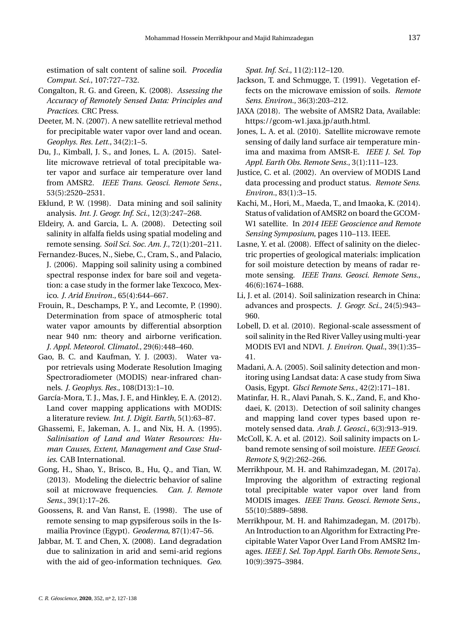estimation of salt content of saline soil. *Procedia Comput. Sci.*, 107:727–732.

- <span id="page-11-25"></span>Congalton, R. G. and Green, K. (2008). *Assessing the Accuracy of Remotely Sensed Data: Principles and Practices*. CRC Press.
- <span id="page-11-18"></span>Deeter, M. N. (2007). A new satellite retrieval method for precipitable water vapor over land and ocean. *Geophys. Res. Lett.*, 34(2):1–5.
- <span id="page-11-12"></span>Du, J., Kimball, J. S., and Jones, L. A. (2015). Satellite microwave retrieval of total precipitable water vapor and surface air temperature over land from AMSR2. *IEEE Trans. Geosci. Remote Sens.*, 53(5):2520–2531.
- <span id="page-11-3"></span>Eklund, P. W. (1998). Data mining and soil salinity analysis. *Int. J. Geogr. Inf. Sci.*, 12(3):247–268.
- <span id="page-11-5"></span>Eldeiry, A. and Garcia, L. A. (2008). Detecting soil salinity in alfalfa fields using spatial modeling and remote sensing. *Soil Sci. Soc. Am. J.*, 72(1):201–211.
- <span id="page-11-10"></span>Fernandez-Buces, N., Siebe, C., Cram, S., and Palacio, J. (2006). Mapping soil salinity using a combined spectral response index for bare soil and vegetation: a case study in the former lake Texcoco, Mexico. *J. Arid Environ.*, 65(4):644–667.
- <span id="page-11-15"></span>Frouin, R., Deschamps, P. Y., and Lecomte, P. (1990). Determination from space of atmospheric total water vapor amounts by differential absorption near 940 nm: theory and airborne verification. *J. Appl. Meteorol. Climatol.*, 29(6):448–460.
- <span id="page-11-16"></span>Gao, B. C. and Kaufman, Y. J. (2003). Water vapor retrievals using Moderate Resolution Imaging Spectroradiometer (MODIS) near-infrared channels. *J. Geophys. Res.*, 108(D13):1–10.
- <span id="page-11-21"></span>García-Mora, T. J., Mas, J. F., and Hinkley, E. A. (2012). Land cover mapping applications with MODIS: a literature review. *Int. J. Digit. Earth*, 5(1):63–87.
- <span id="page-11-2"></span>Ghassemi, F., Jakeman, A. J., and Nix, H. A. (1995). *Salinisation of Land and Water Resources: Human Causes, Extent, Management and Case Studies*. CAB International.
- <span id="page-11-11"></span>Gong, H., Shao, Y., Brisco, B., Hu, Q., and Tian, W. (2013). Modeling the dielectric behavior of saline soil at microwave frequencies. *Can. J. Remote Sens.*, 39(1):17–26.
- <span id="page-11-0"></span>Goossens, R. and Van Ranst, E. (1998). The use of remote sensing to map gypsiferous soils in the Ismailia Province (Egypt). *Geoderma*, 87(1):47–56.
- <span id="page-11-6"></span>Jabbar, M. T. and Chen, X. (2008). Land degradation due to salinization in arid and semi-arid regions with the aid of geo-information techniques. *Geo.*

*Spat. Inf. Sci.*, 11(2):112–120.

- <span id="page-11-24"></span>Jackson, T. and Schmugge, T. (1991). Vegetation effects on the microwave emission of soils. *Remote Sens. Environ.*, 36(3):203–212.
- <span id="page-11-20"></span>JAXA (2018). The website of AMSR2 Data, Available: https://gcom-w1.jaxa.jp/auth.html.
- <span id="page-11-13"></span>Jones, L. A. et al. (2010). Satellite microwave remote sensing of daily land surface air temperature minima and maxima from AMSR-E. *IEEE J. Sel. Top Appl. Earth Obs. Remote Sens.*, 3(1):111–123.
- <span id="page-11-22"></span>Justice, C. et al. (2002). An overview of MODIS Land data processing and product status. *Remote Sens. Environ.*, 83(1):3–15.
- <span id="page-11-19"></span>Kachi, M., Hori, M., Maeda, T., and Imaoka, K. (2014). Status of validation of AMSR2 on board the GCOM-W1 satellite. In *2014 IEEE Geoscience and Remote Sensing Symposium*, pages 110–113. IEEE.
- <span id="page-11-4"></span>Lasne, Y. et al. (2008). Effect of salinity on the dielectric properties of geological materials: implication for soil moisture detection by means of radar remote sensing. *IEEE Trans. Geosci. Remote Sens.*, 46(6):1674–1688.
- <span id="page-11-1"></span>Li, J. et al. (2014). Soil salinization research in China: advances and prospects. *J. Geogr. Sci.*, 24(5):943– 960.
- <span id="page-11-7"></span>Lobell, D. et al. (2010). Regional-scale assessment of soil salinity in the Red River Valley using multi-year MODIS EVI and NDVI. *J. Environ. Qual.*, 39(1):35– 41.
- <span id="page-11-9"></span>Madani, A. A. (2005). Soil salinity detection and monitoring using Landsat data: A case study from Siwa Oasis, Egypt. *GIsci Remote Sens.*, 42(2):171–181.
- <span id="page-11-8"></span>Matinfar, H. R., Alavi Panah, S. K., Zand, F., and Khodaei, K. (2013). Detection of soil salinity changes and mapping land cover types based upon remotely sensed data. *Arab. J. Geosci.*, 6(3):913–919.
- <span id="page-11-23"></span>McColl, K. A. et al. (2012). Soil salinity impacts on Lband remote sensing of soil moisture. *IEEE Geosci. Remote S*, 9(2):262–266.
- <span id="page-11-17"></span>Merrikhpour, M. H. and Rahimzadegan, M. (2017a). Improving the algorithm of extracting regional total precipitable water vapor over land from MODIS images. *IEEE Trans. Geosci. Remote Sens.*, 55(10):5889–5898.
- <span id="page-11-14"></span>Merrikhpour, M. H. and Rahimzadegan, M. (2017b). An Introduction to an Algorithm for Extracting Precipitable Water Vapor Over Land From AMSR2 Images. *IEEE J. Sel. Top Appl. Earth Obs. Remote Sens.*, 10(9):3975–3984.